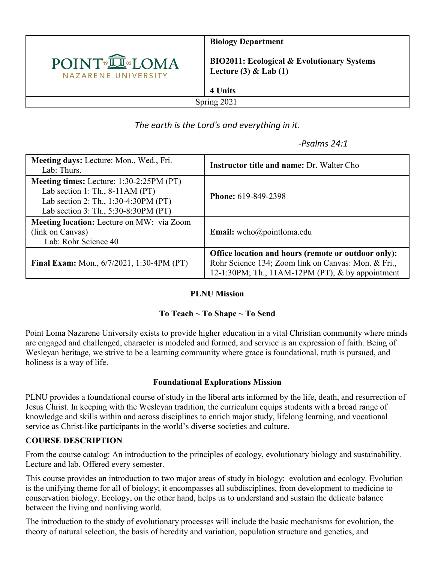

**Biology Department**

**BIO2011: Ecological & Evolutionary Systems Lecture (3) & Lab (1)**

Spring 2021

**4 Units** 

# *The earth is the Lord's and everything in it.*

# *-Psalms 24:1*

| Meeting days: Lecture: Mon., Wed., Fri.<br>Lab: Thurs.                                                                                                               | <b>Instructor title and name: Dr. Walter Cho</b>                                                                                                               |
|----------------------------------------------------------------------------------------------------------------------------------------------------------------------|----------------------------------------------------------------------------------------------------------------------------------------------------------------|
| <b>Meeting times:</b> Lecture: 1:30-2:25PM (PT)<br>Lab section 1: Th., $8-11AM$ (PT)<br>Lab section 2: Th., 1:30-4:30PM (PT)<br>Lab section 3: Th., 5:30-8:30PM (PT) | <b>Phone: 619-849-2398</b>                                                                                                                                     |
| <b>Meeting location:</b> Lecture on MW: via Zoom<br>(link on Canvas)<br>Lab: Rohr Science 40                                                                         | <b>Email:</b> wcho@pointloma.edu                                                                                                                               |
| Final Exam: Mon., 6/7/2021, 1:30-4PM (PT)                                                                                                                            | Office location and hours (remote or outdoor only):<br>Rohr Science 134; Zoom link on Canvas: Mon. & Fri.,<br>12-1:30PM; Th., 11AM-12PM (PT); & by appointment |

## **PLNU Mission**

## **To Teach ~ To Shape ~ To Send**

Point Loma Nazarene University exists to provide higher education in a vital Christian community where minds are engaged and challenged, character is modeled and formed, and service is an expression of faith. Being of Wesleyan heritage, we strive to be a learning community where grace is foundational, truth is pursued, and holiness is a way of life.

## **Foundational Explorations Mission**

PLNU provides a foundational course of study in the liberal arts informed by the life, death, and resurrection of Jesus Christ. In keeping with the Wesleyan tradition, the curriculum equips students with a broad range of knowledge and skills within and across disciplines to enrich major study, lifelong learning, and vocational service as Christ-like participants in the world's diverse societies and culture.

#### **COURSE DESCRIPTION**

From the course catalog: An introduction to the principles of ecology, evolutionary biology and sustainability. Lecture and lab. Offered every semester.

This course provides an introduction to two major areas of study in biology: evolution and ecology. Evolution is the unifying theme for all of biology; it encompasses all subdisciplines, from development to medicine to conservation biology. Ecology, on the other hand, helps us to understand and sustain the delicate balance between the living and nonliving world.

The introduction to the study of evolutionary processes will include the basic mechanisms for evolution, the theory of natural selection, the basis of heredity and variation, population structure and genetics, and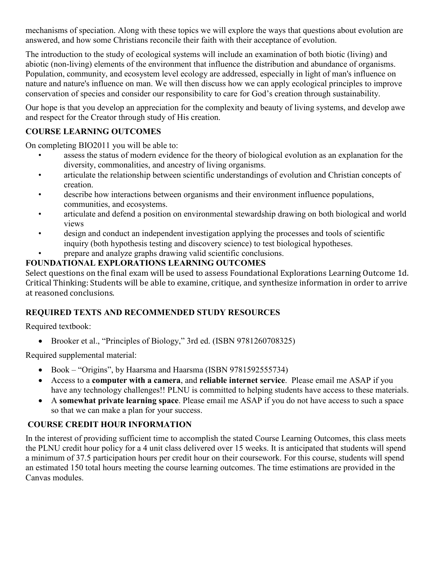mechanisms of speciation. Along with these topics we will explore the ways that questions about evolution are answered, and how some Christians reconcile their faith with their acceptance of evolution.

The introduction to the study of ecological systems will include an examination of both biotic (living) and abiotic (non-living) elements of the environment that influence the distribution and abundance of organisms. Population, community, and ecosystem level ecology are addressed, especially in light of man's influence on nature and nature's influence on man. We will then discuss how we can apply ecological principles to improve conservation of species and consider our responsibility to care for God's creation through sustainability.

Our hope is that you develop an appreciation for the complexity and beauty of living systems, and develop awe and respect for the Creator through study of His creation.

# **COURSE LEARNING OUTCOMES**

On completing BIO2011 you will be able to:

- assess the status of modern evidence for the theory of biological evolution as an explanation for the diversity, commonalities, and ancestry of living organisms.
- articulate the relationship between scientific understandings of evolution and Christian concepts of creation.
- describe how interactions between organisms and their environment influence populations, communities, and ecosystems.
- articulate and defend a position on environmental stewardship drawing on both biological and world views
- design and conduct an independent investigation applying the processes and tools of scientific inquiry (both hypothesis testing and discovery science) to test biological hypotheses.
- prepare and analyze graphs drawing valid scientific conclusions.

**FOUNDATIONAL EXPLORATIONS LEARNING OUTCOMES**<br>Select questions on the final exam will be used to assess Foundational Explorations Learning Outcome 1d. Critical Thinking: Students will be able to examine, critique, and synthesize information in order to arrive at reasoned conclusions.

# **REQUIRED TEXTS AND RECOMMENDED STUDY RESOURCES**

Required textbook:

• Brooker et al., "Principles of Biology," 3rd ed. (ISBN 9781260708325)

Required supplemental material:

- Book "Origins", by Haarsma and Haarsma (ISBN 9781592555734)
- Access to a **computer with a camera**, and **reliable internet service**. Please email me ASAP if you have any technology challenges!! PLNU is committed to helping students have access to these materials.
- A **somewhat private learning space**. Please email me ASAP if you do not have access to such a space so that we can make a plan for your success.

# **COURSE CREDIT HOUR INFORMATION**

In the interest of providing sufficient time to accomplish the stated Course Learning Outcomes, this class meets the PLNU credit hour policy for a 4 unit class delivered over 15 weeks. It is anticipated that students will spend a minimum of 37.5 participation hours per credit hour on their coursework. For this course, students will spend an estimated 150 total hours meeting the course learning outcomes. The time estimations are provided in the Canvas modules.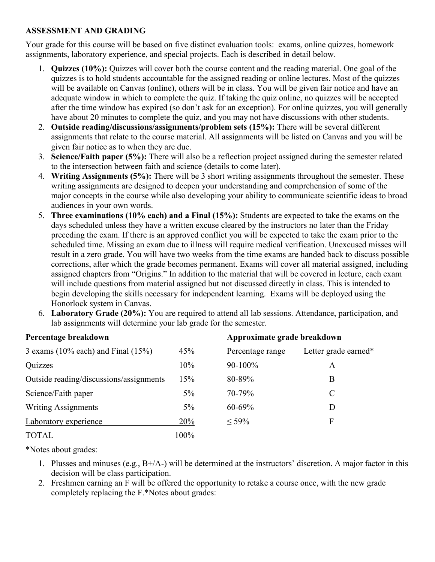#### **ASSESSMENT AND GRADING**

Your grade for this course will be based on five distinct evaluation tools: exams, online quizzes, homework assignments, laboratory experience, and special projects. Each is described in detail below.

- 1. **Quizzes (10%):** Quizzes will cover both the course content and the reading material. One goal of the quizzes is to hold students accountable for the assigned reading or online lectures. Most of the quizzes will be available on Canvas (online), others will be in class. You will be given fair notice and have an adequate window in which to complete the quiz. If taking the quiz online, no quizzes will be accepted after the time window has expired (so don't ask for an exception). For online quizzes, you will generally have about 20 minutes to complete the quiz, and you may not have discussions with other students.
- 2. **Outside reading/discussions/assignments/problem sets (15%):** There will be several different assignments that relate to the course material. All assignments will be listed on Canvas and you will be given fair notice as to when they are due.
- 3. **Science/Faith paper (5%):** There will also be a reflection project assigned during the semester related to the intersection between faith and science (details to come later).
- 4. **Writing Assignments (5%):** There will be 3 short writing assignments throughout the semester. These writing assignments are designed to deepen your understanding and comprehension of some of the major concepts in the course while also developing your ability to communicate scientific ideas to broad audiences in your own words.
- 5. **Three examinations (10% each) and a Final (15%):** Students are expected to take the exams on the days scheduled unless they have a written excuse cleared by the instructors no later than the Friday preceding the exam. If there is an approved conflict you will be expected to take the exam prior to the scheduled time. Missing an exam due to illness will require medical verification. Unexcused misses will result in a zero grade. You will have two weeks from the time exams are handed back to discuss possible corrections, after which the grade becomes permanent. Exams will cover all material assigned, including assigned chapters from "Origins." In addition to the material that will be covered in lecture, each exam will include questions from material assigned but not discussed directly in class. This is intended to begin developing the skills necessary for independent learning. Exams will be deployed using the Honorlock system in Canvas.
- 6. **Laboratory Grade (20%):** You are required to attend all lab sessions. Attendance, participation, and lab assignments will determine your lab grade for the semester.

| Percentage breakdown                     | Approximate grade breakdown |                  |                      |
|------------------------------------------|-----------------------------|------------------|----------------------|
| 3 exams $(10\%$ each) and Final $(15\%)$ | 45%                         | Percentage range | Letter grade earned* |
| Quizzes                                  | 10%                         | 90-100%          | A                    |
| Outside reading/discussions/assignments  | 15%                         | 80-89%           | Β                    |
| Science/Faith paper                      | $5\%$                       | 70-79%           | C                    |
| <b>Writing Assignments</b>               | $5\%$                       | $60 - 69%$       | D                    |
| Laboratory experience                    | 20%                         | $< 59\%$         | F                    |
| TOTAL                                    | 100%                        |                  |                      |

## **Percentage breakdown**

\*Notes about grades:

- 1. Plusses and minuses (e.g., B+/A-) will be determined at the instructors' discretion. A major factor in this decision will be class participation.
- 2. Freshmen earning an F will be offered the opportunity to retake a course once, with the new grade completely replacing the F.\*Notes about grades: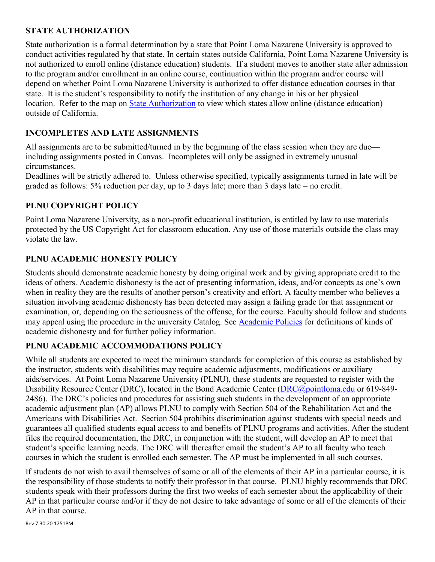## **STATE AUTHORIZATION**

State authorization is a formal determination by a state that Point Loma Nazarene University is approved to conduct activities regulated by that state. In certain states outside California, Point Loma Nazarene University is not authorized to enroll online (distance education) students. If a student moves to another state after admission to the program and/or enrollment in an online course, continuation within the program and/or course will depend on whether Point Loma Nazarene University is authorized to offer distance education courses in that state. It is the student's responsibility to notify the institution of any change in his or her physical location. Refer to the map on [State Authorization](https://www.pointloma.edu/offices/office-institutional-effectiveness-research/disclosures) to view which states allow online (distance education) outside of California.

## **INCOMPLETES AND LATE ASSIGNMENTS**

All assignments are to be submitted/turned in by the beginning of the class session when they are due including assignments posted in Canvas. Incompletes will only be assigned in extremely unusual circumstances.

Deadlines will be strictly adhered to. Unless otherwise specified, typically assignments turned in late will be graded as follows: 5% reduction per day, up to 3 days late; more than 3 days late = no credit.

## **PLNU COPYRIGHT POLICY**

Point Loma Nazarene University, as a non-profit educational institution, is entitled by law to use materials protected by the US Copyright Act for classroom education. Any use of those materials outside the class may violate the law.

## **PLNU ACADEMIC HONESTY POLICY**

Students should demonstrate academic honesty by doing original work and by giving appropriate credit to the ideas of others. Academic dishonesty is the act of presenting information, ideas, and/or concepts as one's own when in reality they are the results of another person's creativity and effort. A faculty member who believes a situation involving academic dishonesty has been detected may assign a failing grade for that assignment or examination, or, depending on the seriousness of the offense, for the course. Faculty should follow and students may appeal using the procedure in the university Catalog. See [Academic Policies](https://catalog.pointloma.edu/content.php?catoid=41&navoid=2435#Academic_Honesty) for definitions of kinds of academic dishonesty and for further policy information.

## **PLNU ACADEMIC ACCOMMODATIONS POLICY**

While all students are expected to meet the minimum standards for completion of this course as established by the instructor, students with disabilities may require academic adjustments, modifications or auxiliary aids/services. At Point Loma Nazarene University (PLNU), these students are requested to register with the Disability Resource Center (DRC), located in the Bond Academic Center [\(DRC@pointloma.edu](mailto:DRC@pointloma.edu) or 619-849- 2486). The DRC's policies and procedures for assisting such students in the development of an appropriate academic adjustment plan (AP) allows PLNU to comply with Section 504 of the Rehabilitation Act and the Americans with Disabilities Act. Section 504 prohibits discrimination against students with special needs and guarantees all qualified students equal access to and benefits of PLNU programs and activities. After the student files the required documentation, the DRC, in conjunction with the student, will develop an AP to meet that student's specific learning needs. The DRC will thereafter email the student's AP to all faculty who teach courses in which the student is enrolled each semester. The AP must be implemented in all such courses.

If students do not wish to avail themselves of some or all of the elements of their AP in a particular course, it is the responsibility of those students to notify their professor in that course. PLNU highly recommends that DRC students speak with their professors during the first two weeks of each semester about the applicability of their AP in that particular course and/or if they do not desire to take advantage of some or all of the elements of their AP in that course.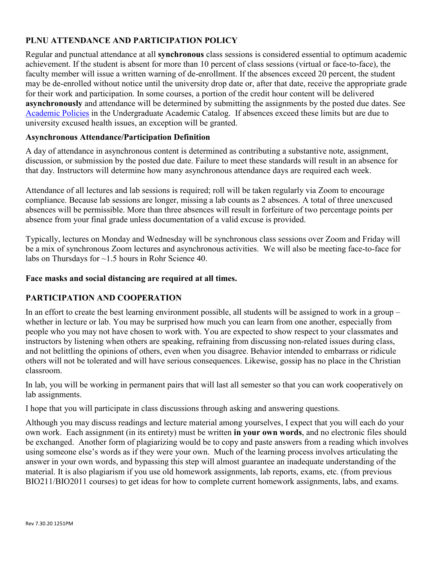## **PLNU ATTENDANCE AND PARTICIPATION POLICY**

Regular and punctual attendance at all **synchronous** class sessions is considered essential to optimum academic achievement. If the student is absent for more than 10 percent of class sessions (virtual or face-to-face), the faculty member will issue a written warning of de-enrollment. If the absences exceed 20 percent, the student may be de-enrolled without notice until the university drop date or, after that date, receive the appropriate grade for their work and participation. In some courses, a portion of the credit hour content will be delivered **asynchronously** and attendance will be determined by submitting the assignments by the posted due dates. See [Academic Policies](https://catalog.pointloma.edu/content.php?catoid=46&navoid=2650#Class_Attendance) in the Undergraduate Academic Catalog. If absences exceed these limits but are due to university excused health issues, an exception will be granted.

#### **Asynchronous Attendance/Participation Definition**

A day of attendance in asynchronous content is determined as contributing a substantive note, assignment, discussion, or submission by the posted due date. Failure to meet these standards will result in an absence for that day. Instructors will determine how many asynchronous attendance days are required each week.

Attendance of all lectures and lab sessions is required; roll will be taken regularly via Zoom to encourage compliance. Because lab sessions are longer, missing a lab counts as 2 absences. A total of three unexcused absences will be permissible. More than three absences will result in forfeiture of two percentage points per absence from your final grade unless documentation of a valid excuse is provided.

Typically, lectures on Monday and Wednesday will be synchronous class sessions over Zoom and Friday will be a mix of synchronous Zoom lectures and asynchronous activities. We will also be meeting face-to-face for labs on Thursdays for ~1.5 hours in Rohr Science 40.

#### **Face masks and social distancing are required at all times.**

#### **PARTICIPATION AND COOPERATION**

In an effort to create the best learning environment possible, all students will be assigned to work in a group – whether in lecture or lab. You may be surprised how much you can learn from one another, especially from people who you may not have chosen to work with. You are expected to show respect to your classmates and instructors by listening when others are speaking, refraining from discussing non-related issues during class, and not belittling the opinions of others, even when you disagree. Behavior intended to embarrass or ridicule others will not be tolerated and will have serious consequences. Likewise, gossip has no place in the Christian classroom.

In lab, you will be working in permanent pairs that will last all semester so that you can work cooperatively on lab assignments.

I hope that you will participate in class discussions through asking and answering questions.

Although you may discuss readings and lecture material among yourselves, I expect that you will each do your own work. Each assignment (in its entirety) must be written **in your own words**, and no electronic files should be exchanged. Another form of plagiarizing would be to copy and paste answers from a reading which involves using someone else's words as if they were your own. Much of the learning process involves articulating the answer in your own words, and bypassing this step will almost guarantee an inadequate understanding of the material. It is also plagiarism if you use old homework assignments, lab reports, exams, etc. (from previous BIO211/BIO2011 courses) to get ideas for how to complete current homework assignments, labs, and exams.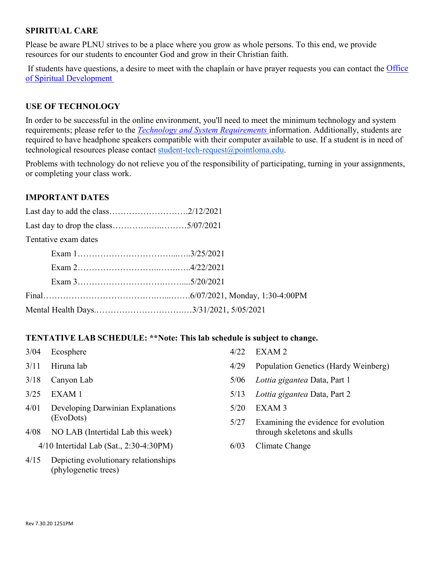#### **SPIRITUAL CARE**

Please be aware PLNU strives to be a place where you grow as whole persons. To this end, we provide resources for our students to encounter God and grow in their Christian faith.

If students have questions, a desire to meet with the chaplain or have prayer requests you can contact the Office [of Spiritual Development](https://www.pointloma.edu/offices/spiritual-development)

#### **USE OF TECHNOLOGY**

In order to be successful in the online environment, you'll need to meet the minimum technology and system requirements; please refer to the *[Technology and System Requirements](https://help.pointloma.edu/TDClient/1808/Portal/KB/ArticleDet?ID=108349)* information. Additionally, students are required to have headphone speakers compatible with their computer available to use. If a student is in need of technological resources please contact [student-tech-request@pointloma.edu.](mailto:student-tech-request@pointloma.edu)

Problems with technology do not relieve you of the responsibility of participating, turning in your assignments, or completing your class work.

#### **IMPORTANT DATES**

| Tentative exam dates |  |  |  |  |  |
|----------------------|--|--|--|--|--|
|                      |  |  |  |  |  |
|                      |  |  |  |  |  |
|                      |  |  |  |  |  |
|                      |  |  |  |  |  |
|                      |  |  |  |  |  |

#### **TENTATIVE LAB SCHEDULE: \*\*Note: This lab schedule is subject to change.**

| 3/04 | Ecosphere                                 | 4/22 | EXAM <sub>2</sub>                    |  |
|------|-------------------------------------------|------|--------------------------------------|--|
| 3/11 | Hiruna lab                                | 4/29 | Population Genetics (Hardy Weinberg) |  |
| 3/18 | Canyon Lab                                | 5/06 | Lottia gigantea Data, Part 1         |  |
| 3/25 | EXAM 1                                    | 5/13 | Lottia gigantea Data, Part 2         |  |
| 4/01 | Developing Darwinian Explanations         | 5/20 | EXAM <sub>3</sub>                    |  |
|      | (EvoDots)                                 | 5/27 | Examining the evidence for evolution |  |
| 4/08 | NO LAB (Intertidal Lab this week)         |      | through skeletons and skulls         |  |
|      | $4/10$ Intertidal Lab (Sat., 2:30-4:30PM) | 6/03 | Climate Change                       |  |
|      | 4/15 Depicting evolutionary relationships |      |                                      |  |

4/15 Depicting evolutionary relationships (phylogenetic trees)